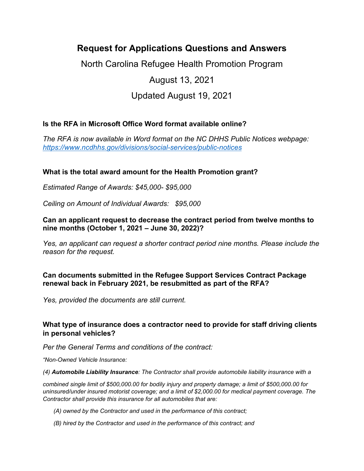# **Request for Applications Questions and Answers**

North Carolina Refugee Health Promotion Program

## August 13, 2021

# Updated August 19, 2021

## **Is the RFA in Microsoft Office Word format available online?**

*The RFA is now available in Word format on the NC DHHS Public Notices webpage: <https://www.ncdhhs.gov/divisions/social-services/public-notices>*

## **What is the total award amount for the Health Promotion grant?**

*Estimated Range of Awards: \$45,000- \$95,000*

*Ceiling on Amount of Individual Awards: \$95,000*

#### **Can an applicant request to decrease the contract period from twelve months to nine months (October 1, 2021 – June 30, 2022)?**

*Yes, an applicant can request a shorter contract period nine months. Please include the reason for the request.* 

## **Can documents submitted in the Refugee Support Services Contract Package renewal back in February 2021, be resubmitted as part of the RFA?**

*Yes, provided the documents are still current.* 

## **What type of insurance does a contractor need to provide for staff driving clients in personal vehicles?**

*Per the General Terms and conditions of the contract:* 

*"Non-Owned Vehicle Insurance:*

*(4) Automobile Liability Insurance: The Contractor shall provide automobile liability insurance with a*

*combined single limit of \$500,000.00 for bodily injury and property damage; a limit of \$500,000.00 for uninsured/under insured motorist coverage; and a limit of \$2,000.00 for medical payment coverage. The Contractor shall provide this insurance for all automobiles that are:* 

- *(A) owned by the Contractor and used in the performance of this contract;*
- *(B) hired by the Contractor and used in the performance of this contract; and*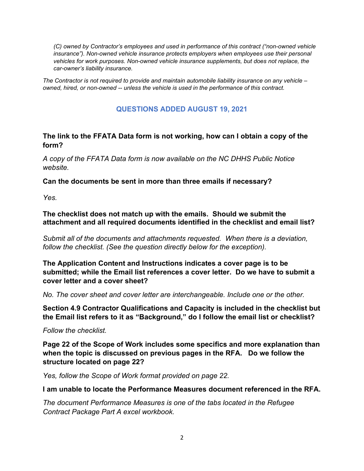*(C) owned by Contractor's employees and used in performance of this contract ("non-owned vehicle insurance"). Non-owned vehicle insurance protects employers when employees use their personal vehicles for work purposes. Non-owned vehicle insurance supplements, but does not replace, the car-owner's liability insurance.* 

*The Contractor is not required to provide and maintain automobile liability insurance on any vehicle – owned, hired, or non-owned -- unless the vehicle is used in the performance of this contract.*

## **QUESTIONS ADDED AUGUST 19, 2021**

**The link to the FFATA Data form is not working, how can I obtain a copy of the form?**

*A copy of the FFATA Data form is now available on the NC DHHS Public Notice website.* 

**Can the documents be sent in more than three emails if necessary?**

*Yes.* 

**The checklist does not match up with the emails. Should we submit the attachment and all required documents identified in the checklist and email list?**

*Submit all of the documents and attachments requested. When there is a deviation, follow the checklist. (See the question directly below for the exception).* 

**The Application Content and Instructions indicates a cover page is to be submitted; while the Email list references a cover letter. Do we have to submit a cover letter and a cover sheet?**

*No. The cover sheet and cover letter are interchangeable. Include one or the other.* 

**Section 4.9 Contractor Qualifications and Capacity is included in the checklist but the Email list refers to it as "Background," do I follow the email list or checklist?**

*Follow the checklist.*

**Page 22 of the Scope of Work includes some specifics and more explanation than when the topic is discussed on previous pages in the RFA. Do we follow the structure located on page 22?** 

*Yes, follow the Scope of Work format provided on page 22.* 

**I am unable to locate the Performance Measures document referenced in the RFA.**

*The document Performance Measures is one of the tabs located in the Refugee Contract Package Part A excel workbook.*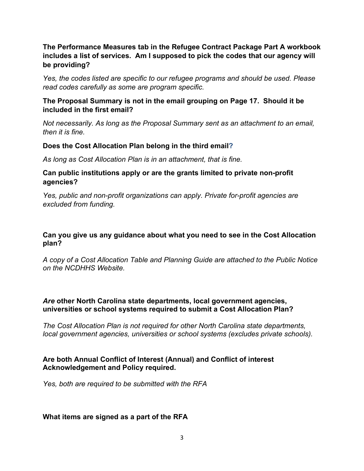## **The Performance Measures tab in the Refugee Contract Package Part A workbook includes a list of services. Am I supposed to pick the codes that our agency will be providing?**

*Yes, the codes listed are specific to our refugee programs and should be used. Please read codes carefully as some are program specific.* 

## **The Proposal Summary is not in the email grouping on Page 17. Should it be included in the first email?**

*Not necessarily. As long as the Proposal Summary sent as an attachment to an email, then it is fine.* 

## **Does the Cost Allocation Plan belong in the third email?**

*As long as Cost Allocation Plan is in an attachment, that is fine.*

## **Can public institutions apply or are the grants limited to private non-profit agencies?**

*Yes, public and non-profit organizations can apply. Private for-profit agencies are excluded from funding.*

#### **Can you give us any guidance about what you need to see in the Cost Allocation plan?**

*A copy of a Cost Allocation Table and Planning Guide are attached to the Public Notice on the NCDHHS Website.*

#### *Are* **other North Carolina state departments, local government agencies, universities or school systems required to submit a Cost Allocation Plan?**

*The Cost Allocation Plan is not required for other North Carolina state departments, local government agencies, universities or school systems (excludes private schools).*

## **Are both Annual Conflict of Interest (Annual) and Conflict of interest Acknowledgement and Policy required.**

*Yes, both are required to be submitted with the RFA*

## **What items are signed as a part of the RFA**